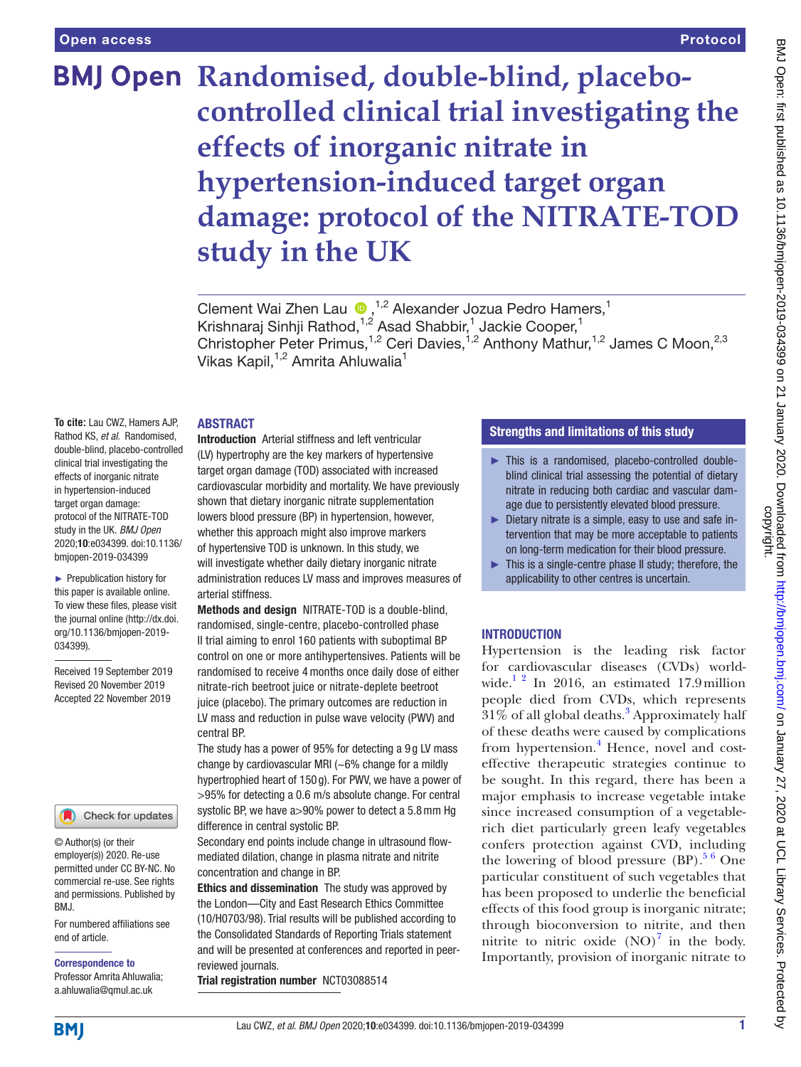# **BMJ Open Randomised, double-blind, placebocontrolled clinical trial investigating the effects of inorganic nitrate in hypertension-induced target organ damage: protocol of the NITRATE-TOD study in the UK**

ClementWai Zhen Lau  $\bullet$ ,<sup>1,2</sup> Alexander Jozua Pedro Hamers,<sup>1</sup> Krishnaraj Sinhji Rathod,<sup>1,2</sup> Asad Shabbir,<sup>1</sup> Jackie Cooper,<sup>1</sup> Christopher Peter Primus,<sup>1,2</sup> Ceri Davies,<sup>1,2</sup> Anthony Mathur,<sup>1,2</sup> James C Moon,<sup>2,3</sup> Vikas Kapil,<sup>1,2</sup> Amrita Ahluwalia<sup>1</sup>

## **ABSTRACT**

**To cite:** Lau CWZ, Hamers AJP, Rathod KS, *et al*. Randomised, double-blind, placebo-controlled clinical trial investigating the effects of inorganic nitrate in hypertension-induced target organ damage: protocol of the NITRATE-TOD study in the UK. *BMJ Open* 2020;10:e034399. doi:10.1136/ bmjopen-2019-034399

► Prepublication history for this paper is available online. To view these files, please visit the journal online (http://dx.doi. org/10.1136/bmjopen-2019- 034399).

Received 19 September 2019 Revised 20 November 2019 Accepted 22 November 2019



© Author(s) (or their employer(s)) 2020. Re-use permitted under CC BY-NC. No commercial re-use. See rights and permissions. Published by BMJ.

For numbered affiliations see end of article.

Correspondence to

Professor Amrita Ahluwalia; a.ahluwalia@qmul.ac.uk

Introduction Arterial stiffness and left ventricular (LV) hypertrophy are the key markers of hypertensive target organ damage (TOD) associated with increased cardiovascular morbidity and mortality. We have previously shown that dietary inorganic nitrate supplementation lowers blood pressure (BP) in hypertension, however, whether this approach might also improve markers of hypertensive TOD is unknown. In this study, we will investigate whether daily dietary inorganic nitrate administration reduces LV mass and improves measures of arterial stiffness.

Methods and design NITRATE-TOD is a double-blind, randomised, single-centre, placebo-controlled phase II trial aiming to enrol 160 patients with suboptimal BP control on one or more antihypertensives. Patients will be randomised to receive 4 months once daily dose of either nitrate-rich beetroot juice or nitrate-deplete beetroot juice (placebo). The primary outcomes are reduction in LV mass and reduction in pulse wave velocity (PWV) and central BP.

The study has a power of 95% for detecting a 9 g LV mass change by cardiovascular MRI  $(-6\%$  change for a mildly hypertrophied heart of 150 g). For PWV, we have a power of >95% for detecting a 0.6 m/s absolute change. For central systolic BP, we have a>90% power to detect a 5.8mm Hg difference in central systolic BP.

Secondary end points include change in ultrasound flowmediated dilation, change in plasma nitrate and nitrite concentration and change in BP.

**Ethics and dissemination** The study was approved by the London—City and East Research Ethics Committee (10/H0703/98). Trial results will be published according to the Consolidated Standards of Reporting Trials statement and will be presented at conferences and reported in peerreviewed journals.

Trial registration number <NCT03088514>

# Strengths and limitations of this study

- ► This is a randomised, placebo-controlled doubleblind clinical trial assessing the potential of dietary nitrate in reducing both cardiac and vascular damage due to persistently elevated blood pressure.
- ► Dietary nitrate is a simple, easy to use and safe intervention that may be more acceptable to patients on long-term medication for their blood pressure.
- $\blacktriangleright$  This is a single-centre phase II study; therefore, the applicability to other centres is uncertain.

# **INTRODUCTION**

Hypertension is the leading risk factor for cardiovascular diseases (CVDs) world-wide.<sup>[1 2](#page-7-0)</sup> In 2016, an estimated 17.9 million people died from CVDs, which represents  $31\%$  $31\%$  of all global deaths.<sup>3</sup> Approximately half of these deaths were caused by complications from hypertension.<sup>[4](#page-7-2)</sup> Hence, novel and costeffective therapeutic strategies continue to be sought. In this regard, there has been a major emphasis to increase vegetable intake since increased consumption of a vegetablerich diet particularly green leafy vegetables confers protection against CVD, including the lowering of blood pressure  $(BP)$ .<sup>[5 6](#page-7-3)</sup> One particular constituent of such vegetables that has been proposed to underlie the beneficial effects of this food group is inorganic nitrate; through bioconversion to nitrite, and then nitrite to nitric oxide  $(NO)^7$  $(NO)^7$  in the body. Importantly, provision of inorganic nitrate to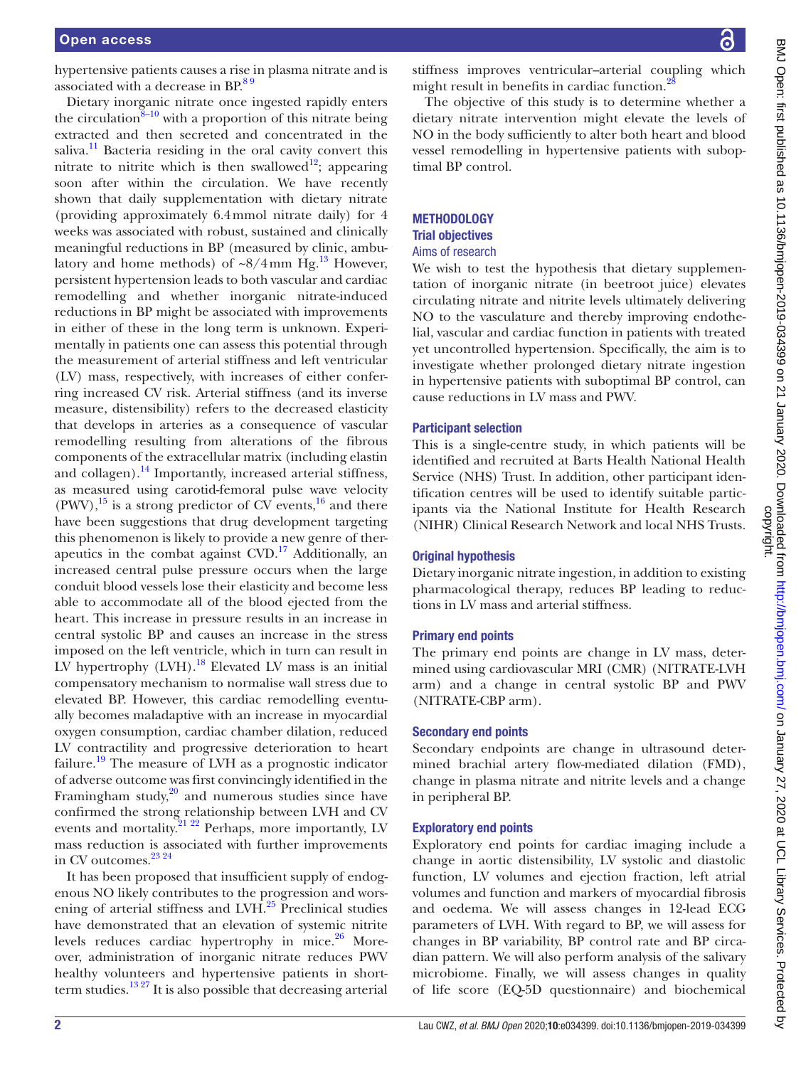hypertensive patients causes a rise in plasma nitrate and is associated with a decrease in BP.<sup>89</sup>

Dietary inorganic nitrate once ingested rapidly enters the circulation $8-10$  with a proportion of this nitrate being extracted and then secreted and concentrated in the saliva.<sup>11</sup> Bacteria residing in the oral cavity convert this nitrate to nitrite which is then swallowed<sup>12</sup>; appearing soon after within the circulation. We have recently shown that daily supplementation with dietary nitrate (providing approximately 6.4mmol nitrate daily) for 4 weeks was associated with robust, sustained and clinically meaningful reductions in BP (measured by clinic, ambulatory and home methods) of  $\sim 8/4$  mm Hg.<sup>[13](#page-7-8)</sup> However, persistent hypertension leads to both vascular and cardiac remodelling and whether inorganic nitrate-induced reductions in BP might be associated with improvements in either of these in the long term is unknown. Experimentally in patients one can assess this potential through the measurement of arterial stiffness and left ventricular (LV) mass, respectively, with increases of either conferring increased CV risk. Arterial stiffness (and its inverse measure, distensibility) refers to the decreased elasticity that develops in arteries as a consequence of vascular remodelling resulting from alterations of the fibrous components of the extracellular matrix (including elastin and collagen). $^{14}$  $^{14}$  $^{14}$  Importantly, increased arterial stiffness, as measured using carotid-femoral pulse wave velocity  $(PWV)$ ,<sup>15</sup> is a strong predictor of CV events,<sup>16</sup> and there have been suggestions that drug development targeting this phenomenon is likely to provide a new genre of therapeutics in the combat against  $CVD$ .<sup>17</sup> Additionally, an increased central pulse pressure occurs when the large conduit blood vessels lose their elasticity and become less able to accommodate all of the blood ejected from the heart. This increase in pressure results in an increase in central systolic BP and causes an increase in the stress imposed on the left ventricle, which in turn can result in LV hypertrophy  $(LVH).<sup>18</sup>$  Elevated LV mass is an initial compensatory mechanism to normalise wall stress due to elevated BP. However, this cardiac remodelling eventually becomes maladaptive with an increase in myocardial oxygen consumption, cardiac chamber dilation, reduced LV contractility and progressive deterioration to heart failure.<sup>[19](#page-7-14)</sup> The measure of LVH as a prognostic indicator of adverse outcome was first convincingly identified in the Framingham study, $20$  and numerous studies since have confirmed the strong relationship between LVH and CV events and mortality.<sup>21</sup> <sup>22</sup> Perhaps, more importantly, LV mass reduction is associated with further improvements in CV outcomes.<sup>23 24</sup>

It has been proposed that insufficient supply of endogenous NO likely contributes to the progression and wors-ening of arterial stiffness and LVH.<sup>[25](#page-7-18)</sup> Preclinical studies have demonstrated that an elevation of systemic nitrite levels reduces cardiac hypertrophy in mice. $26$  Moreover, administration of inorganic nitrate reduces PWV healthy volunteers and hypertensive patients in shortterm studies. $13 27$  It is also possible that decreasing arterial

BMJ Open: first published as 10.1136/bmjopen-2019-034399 on 21 January 2020. Downloaded from http://bmjopen.bmj.com/ on January 27, 2020 at UCL Library Services. Protected by<br>copyright. BMJ Open: first published as 10.1136/bmjopen-2019-034399 on 21 January 2020. Downloaded from <http://bmjopen.bmj.com/> BMJ Open. BMJ Open: Firsty Services. Protected by

stiffness improves ventricular–arterial coupling which might result in benefits in cardiac function.<sup>2</sup>

The objective of this study is to determine whether a dietary nitrate intervention might elevate the levels of NO in the body sufficiently to alter both heart and blood vessel remodelling in hypertensive patients with suboptimal BP control.

## **METHODOLOGY** Trial objectives Aims of research

We wish to test the hypothesis that dietary supplementation of inorganic nitrate (in beetroot juice) elevates circulating nitrate and nitrite levels ultimately delivering NO to the vasculature and thereby improving endothelial, vascular and cardiac function in patients with treated yet uncontrolled hypertension. Specifically, the aim is to investigate whether prolonged dietary nitrate ingestion in hypertensive patients with suboptimal BP control, can cause reductions in LV mass and PWV.

## Participant selection

This is a single-centre study, in which patients will be identified and recruited at Barts Health National Health Service (NHS) Trust. In addition, other participant identification centres will be used to identify suitable participants via the National Institute for Health Research (NIHR) Clinical Research Network and local NHS Trusts.

## Original hypothesis

Dietary inorganic nitrate ingestion, in addition to existing pharmacological therapy, reduces BP leading to reductions in LV mass and arterial stiffness.

## Primary end points

The primary end points are change in LV mass, determined using cardiovascular MRI (CMR) (NITRATE-LVH arm) and a change in central systolic BP and PWV (NITRATE-CBP arm).

## Secondary end points

Secondary endpoints are change in ultrasound determined brachial artery flow-mediated dilation (FMD), change in plasma nitrate and nitrite levels and a change in peripheral BP.

## Exploratory end points

Exploratory end points for cardiac imaging include a change in aortic distensibility, LV systolic and diastolic function, LV volumes and ejection fraction, left atrial volumes and function and markers of myocardial fibrosis and oedema. We will assess changes in 12-lead ECG parameters of LVH. With regard to BP, we will assess for changes in BP variability, BP control rate and BP circadian pattern. We will also perform analysis of the salivary microbiome. Finally, we will assess changes in quality of life score (EQ-5D questionnaire) and biochemical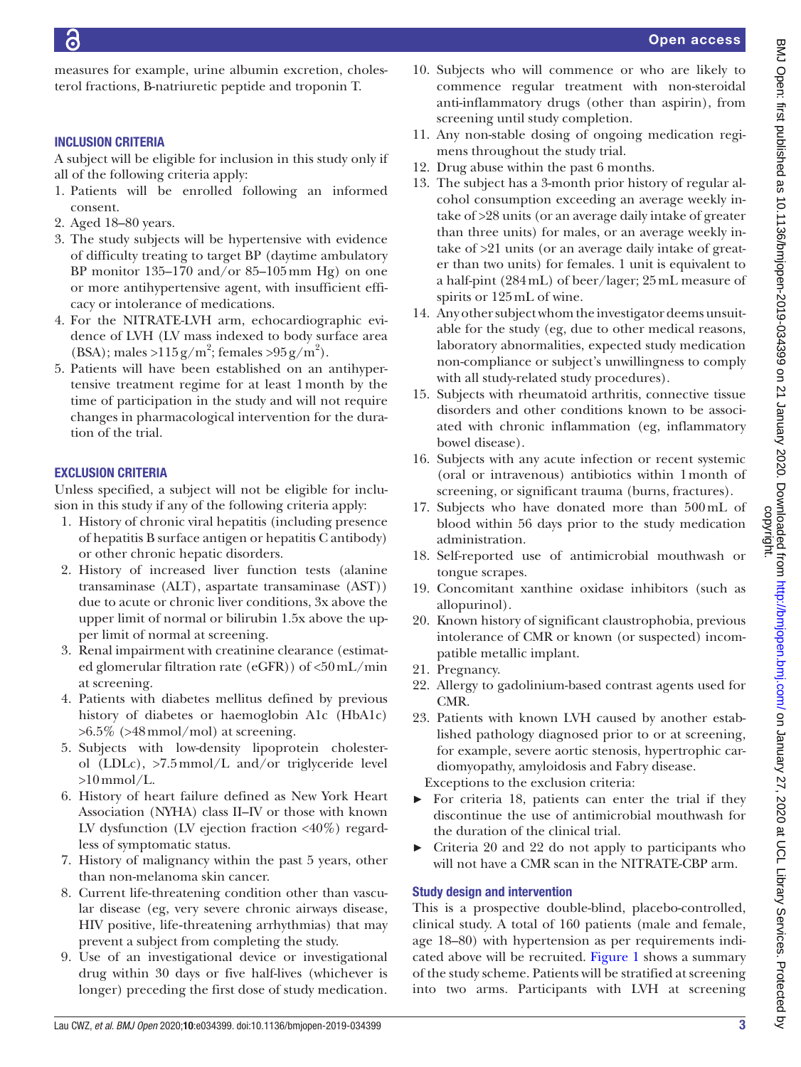measures for example, urine albumin excretion, cholesterol fractions, B-natriuretic peptide and troponin T.

# Inclusion criteria

A subject will be eligible for inclusion in this study only if all of the following criteria apply:

- 1. Patients will be enrolled following an informed consent.
- 2. Aged 18–80 years.
- 3. The study subjects will be hypertensive with evidence of difficulty treating to target BP (daytime ambulatory BP monitor 135–170 and/or 85–105mm Hg) on one or more antihypertensive agent, with insufficient efficacy or intolerance of medications.
- 4. For the NITRATE-LVH arm, echocardiographic evidence of LVH (LV mass indexed to body surface area (BSA); males > $115 \text{ g/m}^2$ ; females > $95 \text{ g/m}^2$ ).
- 5. Patients will have been established on an antihypertensive treatment regime for at least 1month by the time of participation in the study and will not require changes in pharmacological intervention for the duration of the trial.

# Exclusion criteria

Unless specified, a subject will not be eligible for inclusion in this study if any of the following criteria apply:

- 1. History of chronic viral hepatitis (including presence of hepatitis B surface antigen or hepatitis C antibody) or other chronic hepatic disorders.
- 2. History of increased liver function tests (alanine transaminase (ALT), aspartate transaminase (AST)) due to acute or chronic liver conditions, 3x above the upper limit of normal or bilirubin 1.5x above the upper limit of normal at screening.
- 3. Renal impairment with creatinine clearance (estimated glomerular filtration rate (eGFR)) of <50mL/min at screening.
- 4. Patients with diabetes mellitus defined by previous history of diabetes or haemoglobin A1c (HbA1c)  $>6.5\%$  ( $>48$ mmol/mol) at screening.
- 5. Subjects with low-density lipoprotein cholesterol (LDLc), >7.5mmol/L and/or triglyceride level  $>10$  mmol/L.
- 6. History of heart failure defined as New York Heart Association (NYHA) class II–IV or those with known LV dysfunction (LV ejection fraction  $\langle 40\% \rangle$  regardless of symptomatic status.
- 7. History of malignancy within the past 5 years, other than non-melanoma skin cancer.
- 8. Current life-threatening condition other than vascular disease (eg, very severe chronic airways disease, HIV positive, life‐threatening arrhythmias) that may prevent a subject from completing the study.
- 9. Use of an investigational device or investigational drug within 30 days or five half-lives (whichever is longer) preceding the first dose of study medication.
- 10. Subjects who will commence or who are likely to commence regular treatment with non-steroidal anti-inflammatory drugs (other than aspirin), from screening until study completion.
- 11. Any non-stable dosing of ongoing medication regimens throughout the study trial.
- 12. Drug abuse within the past 6 months.
- 13. The subject has a 3-month prior history of regular alcohol consumption exceeding an average weekly intake of >28 units (or an average daily intake of greater than three units) for males, or an average weekly intake of >21 units (or an average daily intake of greater than two units) for females. 1 unit is equivalent to a half-pint (284mL) of beer/lager; 25mL measure of spirits or 125mL of wine.
- 14. Any other subject whom the investigator deems unsuitable for the study (eg, due to other medical reasons, laboratory abnormalities, expected study medication non-compliance or subject's unwillingness to comply with all study-related study procedures).
- 15. Subjects with rheumatoid arthritis, connective tissue disorders and other conditions known to be associated with chronic inflammation (eg, inflammatory bowel disease).
- 16. Subjects with any acute infection or recent systemic (oral or intravenous) antibiotics within 1month of screening, or significant trauma (burns, fractures).
- 17. Subjects who have donated more than 500mL of blood within 56 days prior to the study medication administration.
- 18. Self-reported use of antimicrobial mouthwash or tongue scrapes.
- 19. Concomitant xanthine oxidase inhibitors (such as allopurinol).
- 20. Known history of significant claustrophobia, previous intolerance of CMR or known (or suspected) incompatible metallic implant.
- 21. Pregnancy.
- 22. Allergy to gadolinium-based contrast agents used for CMR.
- 23. Patients with known LVH caused by another established pathology diagnosed prior to or at screening, for example, severe aortic stenosis, hypertrophic cardiomyopathy, amyloidosis and Fabry disease. Exceptions to the exclusion criteria:
- ► For criteria 18, patients can enter the trial if they discontinue the use of antimicrobial mouthwash for the duration of the clinical trial.
- ► Criteria 20 and 22 do not apply to participants who will not have a CMR scan in the NITRATE-CBP arm.

# Study design and intervention

This is a prospective double-blind, placebo-controlled, clinical study. A total of 160 patients (male and female, age 18–80) with hypertension as per requirements indicated above will be recruited. [Figure](#page-3-0) 1 shows a summary of the study scheme. Patients will be stratified at screening into two arms. Participants with LVH at screening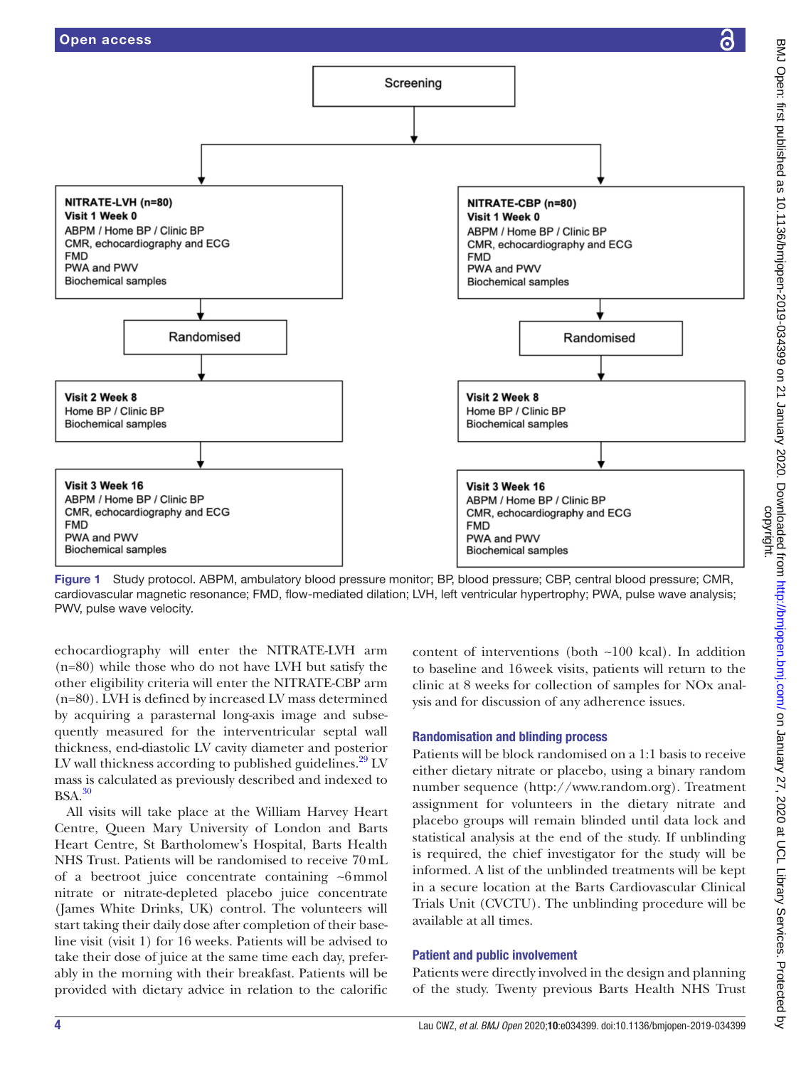

<span id="page-3-0"></span>Figure 1 Study protocol. ABPM, ambulatory blood pressure monitor; BP, blood pressure; CBP, central blood pressure; CMR, cardiovascular magnetic resonance; FMD, flow-mediated dilation; LVH, left ventricular hypertrophy; PWA, pulse wave analysis; PWV, pulse wave velocity.

echocardiography will enter the NITRATE-LVH arm (n=80) while those who do not have LVH but satisfy the other eligibility criteria will enter the NITRATE-CBP arm (n=80). LVH is defined by increased LV mass determined by acquiring a parasternal long-axis image and subsequently measured for the interventricular septal wall thickness, end-diastolic LV cavity diameter and posterior LV wall thickness according to published guidelines.<sup>29</sup> LV mass is calculated as previously described and indexed to  $BSA.<sup>30</sup>$ 

All visits will take place at the William Harvey Heart Centre, Queen Mary University of London and Barts Heart Centre, St Bartholomew's Hospital, Barts Health NHS Trust. Patients will be randomised to receive 70mL of a beetroot juice concentrate containing ∼6mmol nitrate or nitrate-depleted placebo juice concentrate (James White Drinks, UK) control. The volunteers will start taking their daily dose after completion of their baseline visit (visit 1) for 16 weeks. Patients will be advised to take their dose of juice at the same time each day, preferably in the morning with their breakfast. Patients will be provided with dietary advice in relation to the calorific

content of interventions (both ∼100 kcal). In addition to baseline and 16week visits, patients will return to the clinic at 8 weeks for collection of samples for NOx analysis and for discussion of any adherence issues.

## Randomisation and blinding process

Patients will be block randomised on a 1:1 basis to receive either dietary nitrate or placebo, using a binary random number sequence [\(http://www.random.org](http://www.random.org)). Treatment assignment for volunteers in the dietary nitrate and placebo groups will remain blinded until data lock and statistical analysis at the end of the study. If unblinding is required, the chief investigator for the study will be informed. A list of the unblinded treatments will be kept in a secure location at the Barts Cardiovascular Clinical Trials Unit (CVCTU). The unblinding procedure will be available at all times.

## Patient and public involvement

Patients were directly involved in the design and planning of the study. Twenty previous Barts Health NHS Trust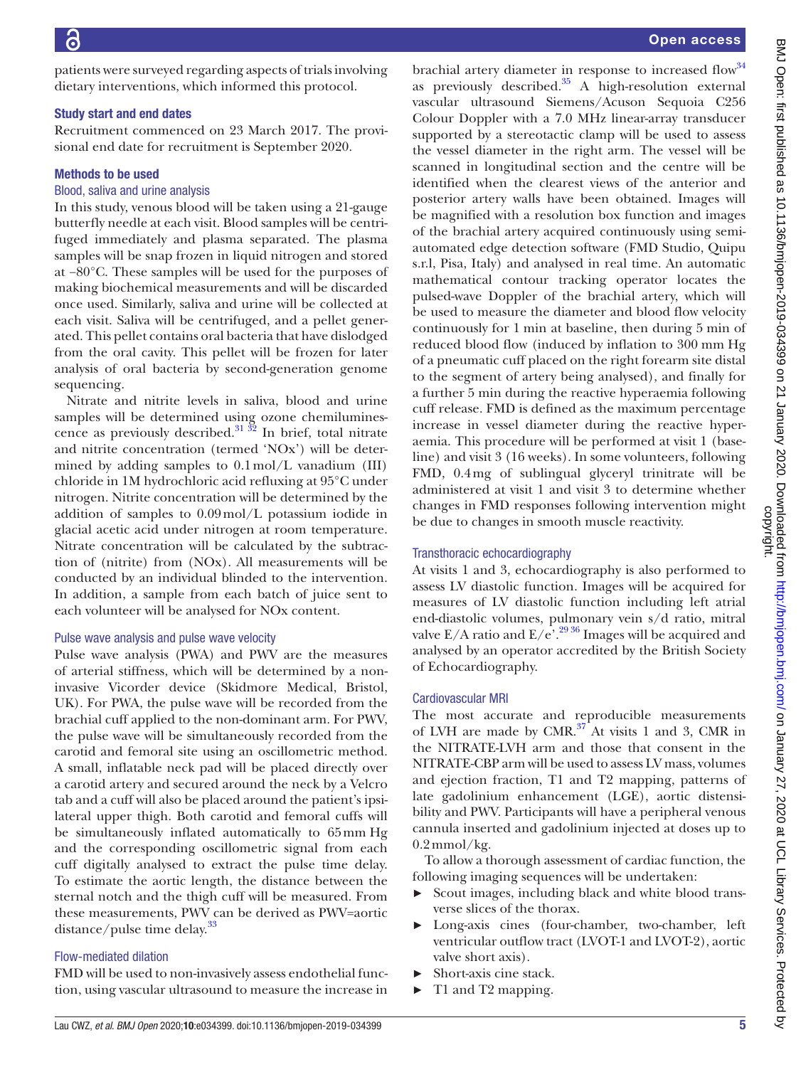patients were surveyed regarding aspects of trials involving dietary interventions, which informed this protocol.

## Study start and end dates

Recruitment commenced on 23 March 2017. The provisional end date for recruitment is September 2020.

## Methods to be used

## Blood, saliva and urine analysis

In this study, venous blood will be taken using a 21-gauge butterfly needle at each visit. Blood samples will be centrifuged immediately and plasma separated. The plasma samples will be snap frozen in liquid nitrogen and stored at −80°C. These samples will be used for the purposes of making biochemical measurements and will be discarded once used. Similarly, saliva and urine will be collected at each visit. Saliva will be centrifuged, and a pellet generated. This pellet contains oral bacteria that have dislodged from the oral cavity. This pellet will be frozen for later analysis of oral bacteria by second-generation genome sequencing.

Nitrate and nitrite levels in saliva, blood and urine samples will be determined using ozone chemiluminescence as previously described.<sup>31</sup>  $\frac{32}{2}$  In brief, total nitrate and nitrite concentration (termed 'NOx') will be determined by adding samples to  $0.1 \text{ mol/L}$  vanadium (III) chloride in 1M hydrochloric acid refluxing at 95°C under nitrogen. Nitrite concentration will be determined by the addition of samples to 0.09mol/L potassium iodide in glacial acetic acid under nitrogen at room temperature. Nitrate concentration will be calculated by the subtraction of (nitrite) from (NOx). All measurements will be conducted by an individual blinded to the intervention. In addition, a sample from each batch of juice sent to each volunteer will be analysed for NOx content.

## Pulse wave analysis and pulse wave velocity

Pulse wave analysis (PWA) and PWV are the measures of arterial stiffness, which will be determined by a noninvasive Vicorder device (Skidmore Medical, Bristol, UK). For PWA, the pulse wave will be recorded from the brachial cuff applied to the non-dominant arm. For PWV, the pulse wave will be simultaneously recorded from the carotid and femoral site using an oscillometric method. A small, inflatable neck pad will be placed directly over a carotid artery and secured around the neck by a Velcro tab and a cuff will also be placed around the patient's ipsilateral upper thigh. Both carotid and femoral cuffs will be simultaneously inflated automatically to 65mm Hg and the corresponding oscillometric signal from each cuff digitally analysed to extract the pulse time delay. To estimate the aortic length, the distance between the sternal notch and the thigh cuff will be measured. From these measurements, PWV can be derived as PWV=aortic distance/pulse time delay.<sup>[33](#page-7-24)</sup>

## Flow-mediated dilation

FMD will be used to non-invasively assess endothelial function, using vascular ultrasound to measure the increase in

brachial artery diameter in response to increased flow<sup>[34](#page-7-25)</sup> as previously described. $35$  A high-resolution external vascular ultrasound Siemens/Acuson Sequoia C256 Colour Doppler with a 7.0 MHz linear-array transducer supported by a stereotactic clamp will be used to assess the vessel diameter in the right arm. The vessel will be scanned in longitudinal section and the centre will be identified when the clearest views of the anterior and posterior artery walls have been obtained. Images will be magnified with a resolution box function and images of the brachial artery acquired continuously using semiautomated edge detection software (FMD Studio, Quipu s.r.l, Pisa, Italy) and analysed in real time. An automatic mathematical contour tracking operator locates the pulsed-wave Doppler of the brachial artery, which will be used to measure the diameter and blood flow velocity continuously for 1 min at baseline, then during 5 min of reduced blood flow (induced by inflation to 300 mm Hg of a pneumatic cuff placed on the right forearm site distal to the segment of artery being analysed), and finally for a further 5 min during the reactive hyperaemia following cuff release. FMD is defined as the maximum percentage increase in vessel diameter during the reactive hyperaemia. This procedure will be performed at visit 1 (baseline) and visit 3 (16 weeks). In some volunteers, following FMD, 0.4mg of sublingual glyceryl trinitrate will be administered at visit 1 and visit 3 to determine whether changes in FMD responses following intervention might be due to changes in smooth muscle reactivity.

## Transthoracic echocardiography

At visits 1 and 3, echocardiography is also performed to assess LV diastolic function. Images will be acquired for measures of LV diastolic function including left atrial end-diastolic volumes, pulmonary vein s/d ratio, mitral valve E/A ratio and  $E/e^{2.2936}$  Images will be acquired and analysed by an operator accredited by the British Society of Echocardiography.

## Cardiovascular MRI

The most accurate and reproducible measurements of LVH are made by CMR. $37$ <sup>2</sup>At visits 1 and 3, CMR in the NITRATE-LVH arm and those that consent in the NITRATE-CBP arm will be used to assess LV mass, volumes and ejection fraction, T1 and T2 mapping, patterns of late gadolinium enhancement (LGE), aortic distensibility and PWV. Participants will have a peripheral venous cannula inserted and gadolinium injected at doses up to  $0.2$  mmol/kg.

To allow a thorough assessment of cardiac function, the following imaging sequences will be undertaken:

- ► Scout images, including black and white blood transverse slices of the thorax.
- Long-axis cines (four-chamber, two-chamber, left ventricular outflow tract (LVOT-1 and LVOT-2), aortic valve short axis).
- ► Short-axis cine stack.
- ► T1 and T2 mapping.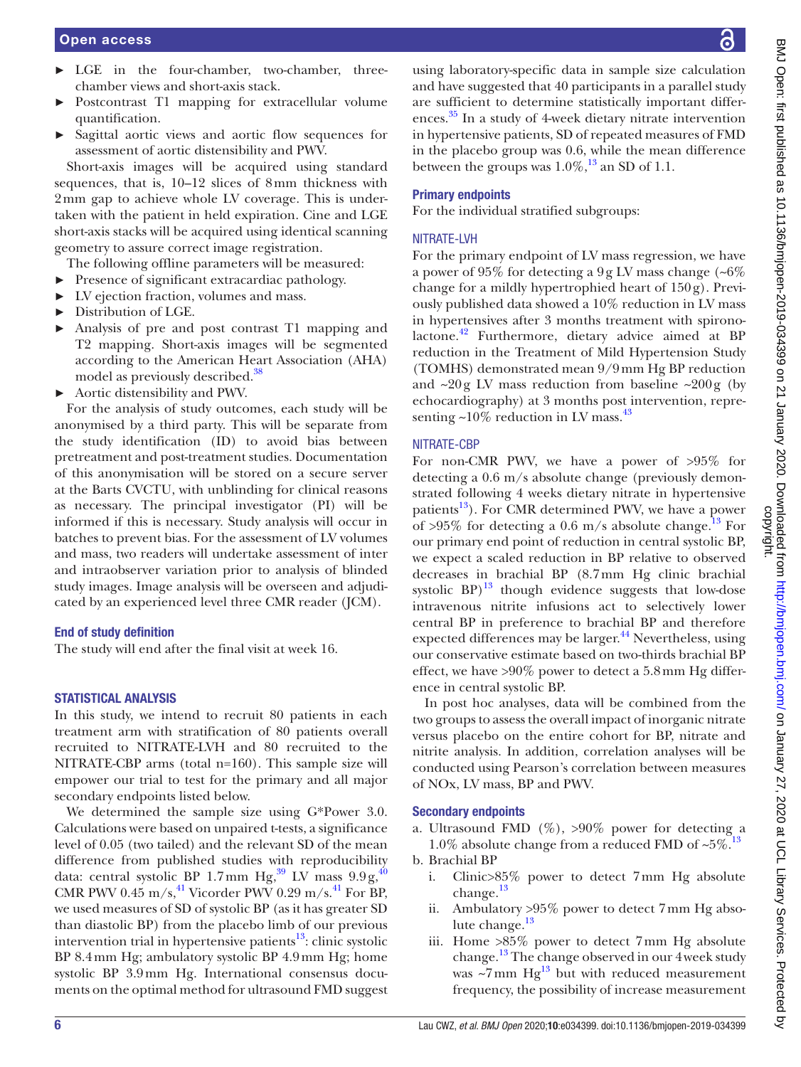- ► LGE in the four-chamber, two-chamber, threechamber views and short-axis stack.
- Postcontrast T1 mapping for extracellular volume quantification.
- ► Sagittal aortic views and aortic flow sequences for assessment of aortic distensibility and PWV.

Short-axis images will be acquired using standard sequences, that is, 10–12 slices of 8mm thickness with 2mm gap to achieve whole LV coverage. This is undertaken with the patient in held expiration. Cine and LGE short-axis stacks will be acquired using identical scanning geometry to assure correct image registration.

- The following offline parameters will be measured:
- ► Presence of significant extracardiac pathology.
- ► LV ejection fraction, volumes and mass.
- ► Distribution of LGE.
- ► Analysis of pre and post contrast T1 mapping and T2 mapping. Short-axis images will be segmented according to the American Heart Association (AHA) model as previously described.<sup>[38](#page-7-28)</sup>
- ► Aortic distensibility and PWV.

For the analysis of study outcomes, each study will be anonymised by a third party. This will be separate from the study identification (ID) to avoid bias between pretreatment and post-treatment studies. Documentation of this anonymisation will be stored on a secure server at the Barts CVCTU, with unblinding for clinical reasons as necessary. The principal investigator (PI) will be informed if this is necessary. Study analysis will occur in batches to prevent bias. For the assessment of LV volumes and mass, two readers will undertake assessment of inter and intraobserver variation prior to analysis of blinded study images. Image analysis will be overseen and adjudicated by an experienced level three CMR reader (JCM).

#### End of study definition

The study will end after the final visit at week 16.

## STATISTICAL ANALYSIS

In this study, we intend to recruit 80 patients in each treatment arm with stratification of 80 patients overall recruited to NITRATE-LVH and 80 recruited to the NITRATE-CBP arms (total n=160). This sample size will empower our trial to test for the primary and all major secondary endpoints listed below.

We determined the sample size using G\*Power 3.0. Calculations were based on unpaired t-tests, a significance level of 0.05 (two tailed) and the relevant SD of the mean difference from published studies with reproducibility data: central systolic BP 1.7mm Hg,<sup>39</sup> LV mass  $9.9 g, \frac{40}{3}$  $9.9 g, \frac{40}{3}$  $9.9 g, \frac{40}{3}$ CMR PWV 0.45 m/s,<sup>41</sup> Vicorder PWV 0.29 m/s.<sup>41</sup> For BP, we used measures of SD of systolic BP (as it has greater SD than diastolic BP) from the placebo limb of our previous intervention trial in hypertensive patients $13$ : clinic systolic BP 8.4mm Hg; ambulatory systolic BP 4.9mm Hg; home systolic BP 3.9mm Hg. International consensus documents on the optimal method for ultrasound FMD suggest

using laboratory-specific data in sample size calculation and have suggested that 40 participants in a parallel study are sufficient to determine statistically important differences. [35](#page-7-26) In a study of 4-week dietary nitrate intervention in hypertensive patients, SD of repeated measures of FMD in the placebo group was 0.6, while the mean difference between the groups was  $1.0\%$ ,<sup>13</sup> an SD of 1.1.

## Primary endpoints

For the individual stratified subgroups:

#### NITRATE-LVH

For the primary endpoint of LV mass regression, we have a power of 95% for detecting a 9g LV mass change (~6% change for a mildly hypertrophied heart of 150g). Previously published data showed a 10% reduction in LV mass in hypertensives after 3 months treatment with spironolactone.<sup>42</sup> Furthermore, dietary advice aimed at BP reduction in the Treatment of Mild Hypertension Study (TOMHS) demonstrated mean 9/9mm Hg BP reduction and  $\sim 20$ g LV mass reduction from baseline  $\sim 200$ g (by echocardiography) at 3 months post intervention, representing  $\sim$ 10% reduction in LV mass. $^{43}$ 

#### NITRATE-CBP

For non-CMR PWV, we have a power of >95% for detecting a 0.6 m/s absolute change (previously demonstrated following 4 weeks dietary nitrate in hypertensive patients $^{13}$ ). For CMR determined PWV, we have a power of >95% for detecting a 0.6 m/s absolute change.<sup>[13](#page-7-8)</sup> For our primary end point of reduction in central systolic BP, we expect a scaled reduction in BP relative to observed decreases in brachial BP (8.7mm Hg clinic brachial systolic  $BP$ <sup>[13](#page-7-8)</sup> though evidence suggests that low-dose intravenous nitrite infusions act to selectively lower central BP in preference to brachial BP and therefore expected differences may be larger.<sup>[44](#page-8-3)</sup> Nevertheless, using our conservative estimate based on two-thirds brachial BP effect, we have >90% power to detect a 5.8mm Hg difference in central systolic BP.

In post hoc analyses, data will be combined from the two groups to assess the overall impact of inorganic nitrate versus placebo on the entire cohort for BP, nitrate and nitrite analysis. In addition, correlation analyses will be conducted using Pearson's correlation between measures of NOx, LV mass, BP and PWV.

#### Secondary endpoints

a. Ultrasound FMD  $(\%)$ , >90% power for detecting a 1.0% absolute change from a reduced FMD of  $\sim 5\%$ .<sup>13</sup>

b. Brachial BP

- i. Clinic>85% power to detect 7mm Hg absolute change.<sup>13</sup>
- ii. Ambulatory >95% power to detect 7mm Hg absolute change. $^{13}$
- iii. Home >85% power to detect 7mm Hg absolute change.<sup>13</sup> The change observed in our 4 week study was  $\sim$ 7mm Hg<sup>[13](#page-7-8)</sup> but with reduced measurement frequency, the possibility of increase measurement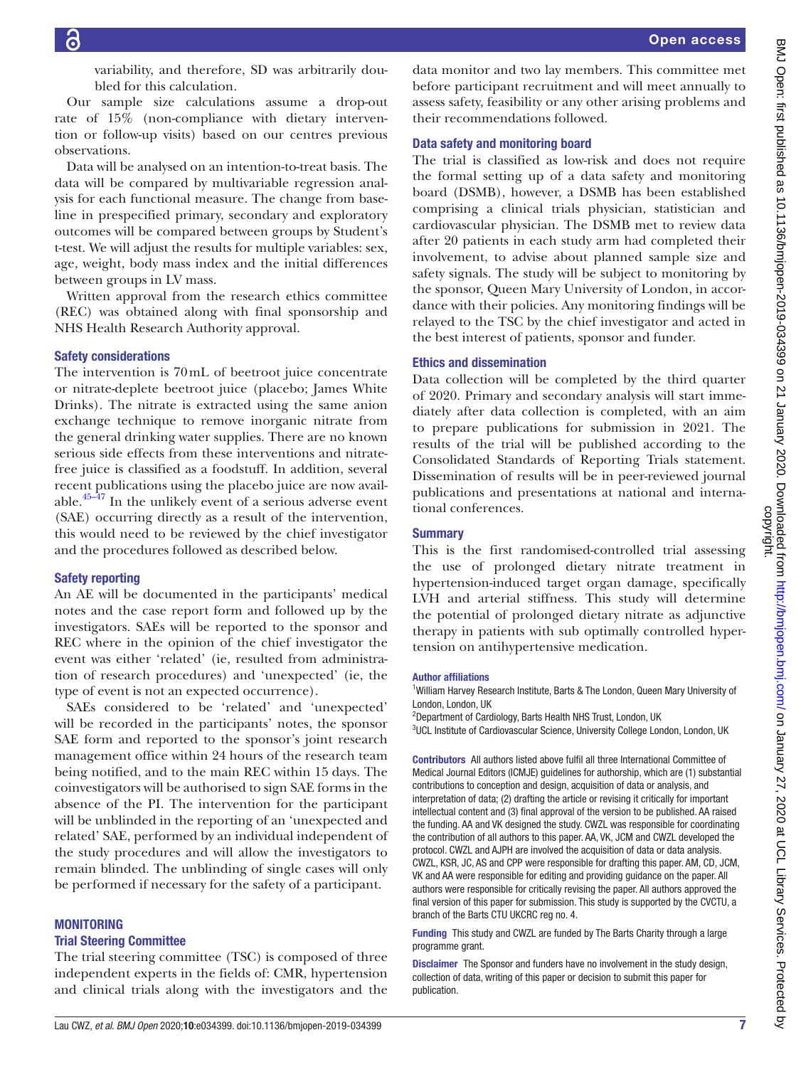variability, and therefore, SD was arbitrarily doubled for this calculation.

Our sample size calculations assume a drop-out rate of 15% (non-compliance with dietary intervention or follow-up visits) based on our centres previous observations.

Data will be analysed on an intention-to-treat basis. The data will be compared by multivariable regression analysis for each functional measure. The change from baseline in prespecified primary, secondary and exploratory outcomes will be compared between groups by Student's t-test. We will adjust the results for multiple variables: sex, age, weight, body mass index and the initial differences between groups in LV mass.

Written approval from the research ethics committee (REC) was obtained along with final sponsorship and NHS Health Research Authority approval.

## Safety considerations

The intervention is 70mL of beetroot juice concentrate or nitrate-deplete beetroot juice (placebo; James White Drinks). The nitrate is extracted using the same anion exchange technique to remove inorganic nitrate from the general drinking water supplies. There are no known serious side effects from these interventions and nitratefree juice is classified as a foodstuff. In addition, several recent publications using the placebo juice are now available. $45-47$  In the unlikely event of a serious adverse event (SAE) occurring directly as a result of the intervention, this would need to be reviewed by the chief investigator and the procedures followed as described below.

## Safety reporting

An AE will be documented in the participants' medical notes and the case report form and followed up by the investigators. SAEs will be reported to the sponsor and REC where in the opinion of the chief investigator the event was either 'related' (ie, resulted from administration of research procedures) and 'unexpected' (ie, the type of event is not an expected occurrence).

SAEs considered to be 'related' and 'unexpected' will be recorded in the participants' notes, the sponsor SAE form and reported to the sponsor's joint research management office within 24 hours of the research team being notified, and to the main REC within 15 days. The coinvestigators will be authorised to sign SAE forms in the absence of the PI. The intervention for the participant will be unblinded in the reporting of an 'unexpected and related' SAE, performed by an individual independent of the study procedures and will allow the investigators to remain blinded. The unblinding of single cases will only be performed if necessary for the safety of a participant.

#### **MONITORING**

#### Trial Steering Committee

The trial steering committee (TSC) is composed of three independent experts in the fields of: CMR, hypertension and clinical trials along with the investigators and the

data monitor and two lay members. This committee met before participant recruitment and will meet annually to assess safety, feasibility or any other arising problems and their recommendations followed.

#### Data safety and monitoring board

The trial is classified as low-risk and does not require the formal setting up of a data safety and monitoring board (DSMB), however, a DSMB has been established comprising a clinical trials physician, statistician and cardiovascular physician. The DSMB met to review data after 20 patients in each study arm had completed their involvement, to advise about planned sample size and safety signals. The study will be subject to monitoring by the sponsor, Queen Mary University of London, in accordance with their policies. Any monitoring findings will be relayed to the TSC by the chief investigator and acted in the best interest of patients, sponsor and funder.

## Ethics and dissemination

Data collection will be completed by the third quarter of 2020. Primary and secondary analysis will start immediately after data collection is completed, with an aim to prepare publications for submission in 2021. The results of the trial will be published according to the Consolidated Standards of Reporting Trials statement. Dissemination of results will be in peer-reviewed journal publications and presentations at national and international conferences.

## Summary

This is the first randomised-controlled trial assessing the use of prolonged dietary nitrate treatment in hypertension-induced target organ damage, specifically LVH and arterial stiffness. This study will determine the potential of prolonged dietary nitrate as adjunctive therapy in patients with sub optimally controlled hypertension on antihypertensive medication.

#### Author affiliations

<sup>1</sup>William Harvey Research Institute, Barts & The London, Queen Mary University of London, London, UK

<sup>2</sup>Department of Cardiology, Barts Health NHS Trust, London, UK

<sup>3</sup>UCL Institute of Cardiovascular Science, University College London, London, UK

Contributors All authors listed above fulfil all three International Committee of Medical Journal Editors (ICMJE) guidelines for authorship, which are (1) substantial contributions to conception and design, acquisition of data or analysis, and interpretation of data; (2) drafting the article or revising it critically for important intellectual content and (3) final approval of the version to be published. AA raised the funding. AA and VK designed the study. CWZL was responsible for coordinating the contribution of all authors to this paper. AA, VK, JCM and CWZL developed the protocol. CWZL and AJPH are involved the acquisition of data or data analysis. CWZL, KSR, JC, AS and CPP were responsible for drafting this paper. AM, CD, JCM, VK and AA were responsible for editing and providing guidance on the paper. All authors were responsible for critically revising the paper. All authors approved the final version of this paper for submission. This study is supported by the CVCTU, a branch of the Barts CTU UKCRC reg no. 4.

Funding This study and CWZL are funded by The Barts Charity through a large programme grant.

**Disclaimer** The Sponsor and funders have no involvement in the study design. collection of data, writing of this paper or decision to submit this paper for publication.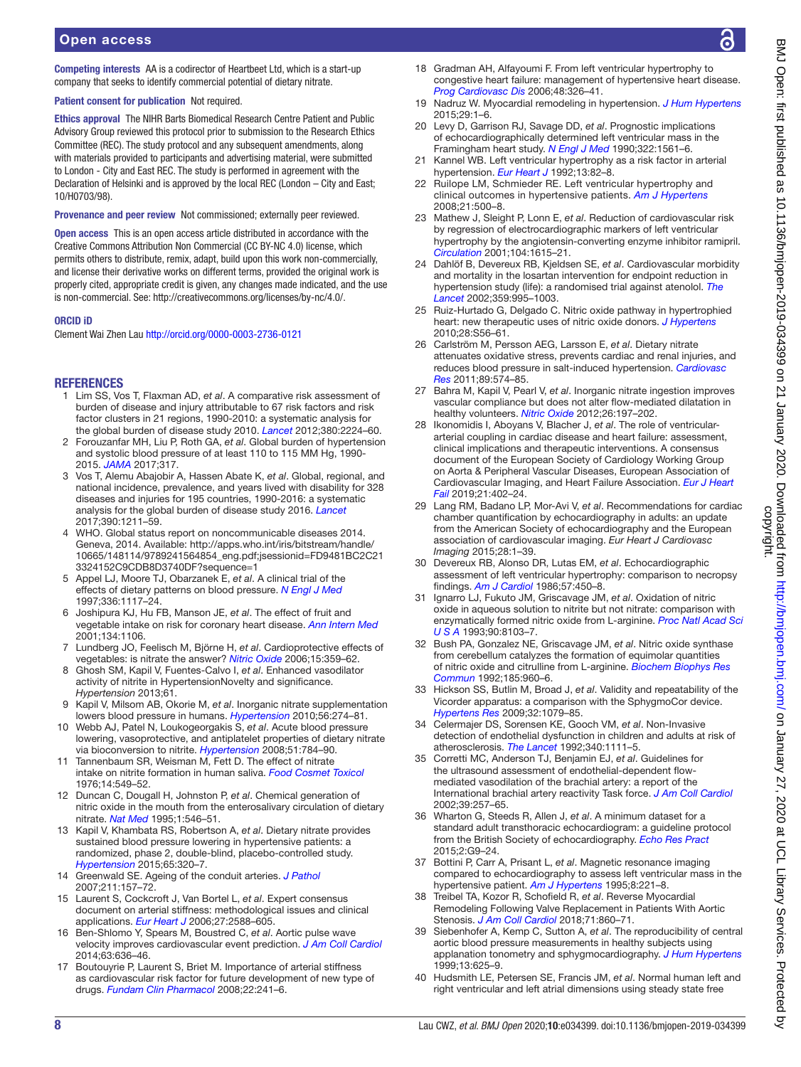Competing interests AA is a codirector of Heartbeet Ltd, which is a start-up company that seeks to identify commercial potential of dietary nitrate.

Patient consent for publication Not required.

Ethics approval The NIHR Barts Biomedical Research Centre Patient and Public Advisory Group reviewed this protocol prior to submission to the Research Ethics Committee (REC). The study protocol and any subsequent amendments, along with materials provided to participants and advertising material, were submitted to London - City and East REC. The study is performed in agreement with the Declaration of Helsinki and is approved by the local REC (London – City and East; 10/H0703/98).

Provenance and peer review Not commissioned; externally peer reviewed.

Open access This is an open access article distributed in accordance with the Creative Commons Attribution Non Commercial (CC BY-NC 4.0) license, which permits others to distribute, remix, adapt, build upon this work non-commercially, and license their derivative works on different terms, provided the original work is properly cited, appropriate credit is given, any changes made indicated, and the use is non-commercial. See: <http://creativecommons.org/licenses/by-nc/4.0/>.

#### ORCID iD

Clement Wai Zhen Lau <http://orcid.org/0000-0003-2736-0121>

## **REFERENCES**

- <span id="page-7-0"></span>1 Lim SS, Vos T, Flaxman AD, *et al*. A comparative risk assessment of burden of disease and injury attributable to 67 risk factors and risk factor clusters in 21 regions, 1990-2010: a systematic analysis for the global burden of disease study 2010. *[Lancet](http://dx.doi.org/10.1016/S0140-6736(12)61766-8)* 2012;380:2224–60.
- 2 Forouzanfar MH, Liu P, Roth GA, *et al*. Global burden of hypertension and systolic blood pressure of at least 110 to 115 MM Hg, 1990- 2015. *[JAMA](http://dx.doi.org/10.1001/jama.2016.19043)* 2017;317.
- <span id="page-7-1"></span>3 Vos T, Alemu Abajobir A, Hassen Abate K, *et al*. Global, regional, and national incidence, prevalence, and years lived with disability for 328 diseases and injuries for 195 countries, 1990-2016: a systematic analysis for the global burden of disease study 2016. *[Lancet](http://dx.doi.org/10.1016/S0140-6736(17)32154-2)* 2017;390:1211–59.
- <span id="page-7-2"></span>4 WHO. Global status report on noncommunicable diseases 2014. Geneva, 2014. Available: [http://apps.who.int/iris/bitstream/handle/](http://apps.who.int/iris/bitstream/handle/10665/148114/9789241564854_eng.pdf;jsessionid=FD9481BC2C213324152C9CDB8D3740DF?sequence=1) [10665/148114/9789241564854\\_eng.pdf;jsessionid=FD9481BC2C21](http://apps.who.int/iris/bitstream/handle/10665/148114/9789241564854_eng.pdf;jsessionid=FD9481BC2C213324152C9CDB8D3740DF?sequence=1) [3324152C9CDB8D3740DF?sequence=1](http://apps.who.int/iris/bitstream/handle/10665/148114/9789241564854_eng.pdf;jsessionid=FD9481BC2C213324152C9CDB8D3740DF?sequence=1)
- <span id="page-7-3"></span>5 Appel LJ, Moore TJ, Obarzanek E, *et al*. A clinical trial of the effects of dietary patterns on blood pressure. *[N Engl J Med](http://dx.doi.org/10.1056/NEJM199704173361601)* 1997;336:1117–24.
- 6 Joshipura KJ, Hu FB, Manson JE, *et al*. The effect of fruit and vegetable intake on risk for coronary heart disease. *[Ann Intern Med](http://dx.doi.org/10.7326/0003-4819-134-12-200106190-00010)* 2001;134:1106.
- <span id="page-7-4"></span>7 Lundberg JO, Feelisch M, Björne H, *et al*. Cardioprotective effects of vegetables: is nitrate the answer? *[Nitric Oxide](http://dx.doi.org/10.1016/j.niox.2006.01.013)* 2006;15:359–62.
- <span id="page-7-5"></span>8 Ghosh SM, Kapil V, Fuentes-Calvo I, *et al*. Enhanced vasodilator activity of nitrite in HypertensionNovelty and significance. *Hypertension* 2013;61.
- 9 Kapil V, Milsom AB, Okorie M, *et al*. Inorganic nitrate supplementation lowers blood pressure in humans. *[Hypertension](http://dx.doi.org/10.1161/HYPERTENSIONAHA.110.153536)* 2010;56:274–81.
- 10 Webb AJ, Patel N, Loukogeorgakis S, *et al*. Acute blood pressure lowering, vasoprotective, and antiplatelet properties of dietary nitrate via bioconversion to nitrite. *[Hypertension](http://dx.doi.org/10.1161/HYPERTENSIONAHA.107.103523)* 2008;51:784–90.
- <span id="page-7-6"></span>11 Tannenbaum SR, Weisman M, Fett D. The effect of nitrate intake on nitrite formation in human saliva. *[Food Cosmet Toxicol](http://dx.doi.org/10.1016/S0015-6264(76)80006-5)* 1976;14:549–52.
- <span id="page-7-7"></span>12 Duncan C, Dougall H, Johnston P, *et al*. Chemical generation of nitric oxide in the mouth from the enterosalivary circulation of dietary nitrate. *[Nat Med](http://dx.doi.org/10.1038/nm0695-546)* 1995;1:546–51.
- <span id="page-7-8"></span>13 Kapil V, Khambata RS, Robertson A, *et al*. Dietary nitrate provides sustained blood pressure lowering in hypertensive patients: a randomized, phase 2, double-blind, placebo-controlled study. *[Hypertension](http://dx.doi.org/10.1161/HYPERTENSIONAHA.114.04675)* 2015;65:320–7.
- <span id="page-7-9"></span>14 Greenwald SE. Ageing of the conduit arteries. *[J Pathol](http://dx.doi.org/10.1002/path.2101)* 2007;211:157–72.
- <span id="page-7-10"></span>15 Laurent S, Cockcroft J, Van Bortel L, *et al*. Expert consensus document on arterial stiffness: methodological issues and clinical applications. *[Eur Heart J](http://dx.doi.org/10.1093/eurheartj/ehl254)* 2006;27:2588–605.
- <span id="page-7-11"></span>16 Ben-Shlomo Y, Spears M, Boustred C, *et al*. Aortic pulse wave velocity improves cardiovascular event prediction. *[J Am Coll Cardiol](http://dx.doi.org/10.1016/j.jacc.2013.09.063)* 2014;63:636–46.
- <span id="page-7-12"></span>17 Boutouyrie P, Laurent S, Briet M. Importance of arterial stiffness as cardiovascular risk factor for future development of new type of drugs. *[Fundam Clin Pharmacol](http://dx.doi.org/10.1111/j.1472-8206.2008.00584.x)* 2008;22:241–6.
- <span id="page-7-13"></span>18 Gradman AH, Alfayoumi F. From left ventricular hypertrophy to congestive heart failure: management of hypertensive heart disease. *[Prog Cardiovasc Dis](http://dx.doi.org/10.1016/j.pcad.2006.02.001)* 2006;48:326–41.
- <span id="page-7-14"></span>19 Nadruz W. Myocardial remodeling in hypertension. *[J Hum Hypertens](http://dx.doi.org/10.1038/jhh.2014.36)* 2015;29:1–6.
- <span id="page-7-15"></span>20 Levy D, Garrison RJ, Savage DD, *et al*. Prognostic implications of echocardiographically determined left ventricular mass in the Framingham heart study. *[N Engl J Med](http://dx.doi.org/10.1056/NEJM199005313222203)* 1990;322:1561–6.
- <span id="page-7-16"></span>21 Kannel WB. Left ventricular hypertrophy as a risk factor in arterial hypertension. *[Eur Heart J](http://dx.doi.org/10.1093/eurheartj/13.suppl_D.82)* 1992;13:82–8.
- 22 Ruilope LM, Schmieder RE. Left ventricular hypertrophy and clinical outcomes in hypertensive patients. *[Am J Hypertens](http://dx.doi.org/10.1038/ajh.2008.16)* 2008;21:500–8.
- <span id="page-7-17"></span>23 Mathew J, Sleight P, Lonn E, *et al*. Reduction of cardiovascular risk by regression of electrocardiographic markers of left ventricular hypertrophy by the angiotensin-converting enzyme inhibitor ramipril. *[Circulation](http://dx.doi.org/10.1161/hc3901.096700)* 2001;104:1615–21.
- 24 Dahlöf B, Devereux RB, Kjeldsen SE, *et al*. Cardiovascular morbidity and mortality in the losartan intervention for endpoint reduction in hypertension study (life): a randomised trial against atenolol. *[The](http://dx.doi.org/10.1016/S0140-6736(02)08089-3)  [Lancet](http://dx.doi.org/10.1016/S0140-6736(02)08089-3)* 2002;359:995–1003.
- <span id="page-7-18"></span>25 Ruiz-Hurtado G, Delgado C. Nitric oxide pathway in hypertrophied heart: new therapeutic uses of nitric oxide donors. *[J Hypertens](http://dx.doi.org/10.1097/01.hjh.0000388496.66330.b8)* 2010;28:S56–61.
- <span id="page-7-19"></span>26 Carlström M, Persson AEG, Larsson E, *et al*. Dietary nitrate attenuates oxidative stress, prevents cardiac and renal injuries, and reduces blood pressure in salt-induced hypertension. *[Cardiovasc](http://dx.doi.org/10.1093/cvr/cvq366)  [Res](http://dx.doi.org/10.1093/cvr/cvq366)* 2011;89:574–85.
- 27 Bahra M, Kapil V, Pearl V, *et al*. Inorganic nitrate ingestion improves vascular compliance but does not alter flow-mediated dilatation in healthy volunteers. *[Nitric Oxide](http://dx.doi.org/10.1016/j.niox.2012.01.004)* 2012;26:197–202.
- <span id="page-7-20"></span>28 Ikonomidis I, Aboyans V, Blacher J, *et al*. The role of ventriculararterial coupling in cardiac disease and heart failure: assessment, clinical implications and therapeutic interventions. A consensus document of the European Society of Cardiology Working Group on Aorta & Peripheral Vascular Diseases, European Association of Cardiovascular Imaging, and Heart Failure Association. *[Eur J Heart](http://dx.doi.org/10.1002/ejhf.1436)  [Fail](http://dx.doi.org/10.1002/ejhf.1436)* 2019;21:402–24.
- <span id="page-7-21"></span>29 Lang RM, Badano LP, Mor-Avi V, *et al*. Recommendations for cardiac chamber quantification by echocardiography in adults: an update from the American Society of echocardiography and the European association of cardiovascular imaging. *Eur Heart J Cardiovasc Imaging* 2015;28:1–39.
- <span id="page-7-22"></span>30 Devereux RB, Alonso DR, Lutas EM, *et al*. Echocardiographic assessment of left ventricular hypertrophy: comparison to necropsy findings. *[Am J Cardiol](http://dx.doi.org/10.1016/0002-9149(86)90771-X)* 1986;57:450–8.
- <span id="page-7-23"></span>31 Ignarro LJ, Fukuto JM, Griscavage JM, *et al*. Oxidation of nitric oxide in aqueous solution to nitrite but not nitrate: comparison with enzymatically formed nitric oxide from L-arginine. *[Proc Natl Acad Sci](http://dx.doi.org/10.1073/pnas.90.17.8103)  [U S A](http://dx.doi.org/10.1073/pnas.90.17.8103)* 1993;90:8103–7.
- 32 Bush PA, Gonzalez NE, Griscavage JM, *et al*. Nitric oxide synthase from cerebellum catalyzes the formation of equimolar quantities of nitric oxide and citrulline from L-arginine. *[Biochem Biophys Res](http://dx.doi.org/10.1016/0006-291X(92)91720-B)  [Commun](http://dx.doi.org/10.1016/0006-291X(92)91720-B)* 1992;185:960–6.
- <span id="page-7-24"></span>33 Hickson SS, Butlin M, Broad J, *et al*. Validity and repeatability of the Vicorder apparatus: a comparison with the SphygmoCor device. *[Hypertens Res](http://dx.doi.org/10.1038/hr.2009.154)* 2009;32:1079–85.
- <span id="page-7-25"></span>34 Celermajer DS, Sorensen KE, Gooch VM, *et al*. Non-Invasive detection of endothelial dysfunction in children and adults at risk of atherosclerosis. *[The Lancet](http://dx.doi.org/10.1016/0140-6736(92)93147-F)* 1992;340:1111–5.
- <span id="page-7-26"></span>35 Corretti MC, Anderson TJ, Benjamin EJ, *et al*. Guidelines for the ultrasound assessment of endothelial-dependent flowmediated vasodilation of the brachial artery: a report of the International brachial artery reactivity Task force. *[J Am Coll Cardiol](http://dx.doi.org/10.1016/s0735-1097(01)01746-6)* 2002;39:257–65.
- 36 Wharton G, Steeds R, Allen J, *et al*. A minimum dataset for a standard adult transthoracic echocardiogram: a guideline protocol from the British Society of echocardiography. *[Echo Res Pract](http://dx.doi.org/10.1530/ERP-14-0079)* 2015;2:G9–24.
- <span id="page-7-27"></span>37 Bottini P, Carr A, Prisant L, *et al*. Magnetic resonance imaging compared to echocardiography to assess left ventricular mass in the hypertensive patient. *[Am J Hypertens](http://dx.doi.org/10.1016/0895-7061(94)00178-E)* 1995;8:221–8.
- <span id="page-7-28"></span>38 Treibel TA, Kozor R, Schofield R, *et al*. Reverse Myocardial Remodeling Following Valve Replacement in Patients With Aortic Stenosis. *[J Am Coll Cardiol](http://dx.doi.org/10.1016/j.jacc.2017.12.035)* 2018;71:860–71.
- <span id="page-7-29"></span>39 Siebenhofer A, Kemp C, Sutton A, *et al*. The reproducibility of central aortic blood pressure measurements in healthy subjects using applanation tonometry and sphygmocardiography. *[J Hum Hypertens](http://dx.doi.org/10.1038/sj.jhh.1000887)* 1999;13:625–9.
- <span id="page-7-30"></span>40 Hudsmith LE, Petersen SE, Francis JM, *et al*. Normal human left and right ventricular and left atrial dimensions using steady state free